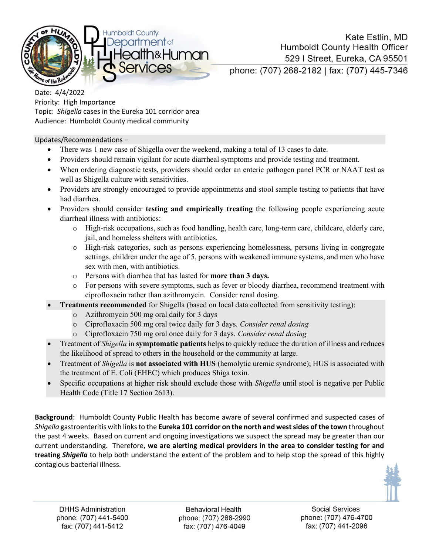

Kate Estlin, MD **Humboldt County Health Officer** 529 | Street, Eureka, CA 95501 phone: (707) 268-2182 | fax: (707) 445-7346

Date: 4/4/2022 Priority: High Importance Topic: *Shigella* cases in the Eureka 101 corridor area Audience: Humboldt County medical community

## Updates/Recommendations –

- There was 1 new case of Shigella over the weekend, making a total of 13 cases to date.
- Providers should remain vigilant for acute diarrheal symptoms and provide testing and treatment.
- When ordering diagnostic tests, providers should order an enteric pathogen panel PCR or NAAT test as well as Shigella culture with sensitivities.
- Providers are strongly encouraged to provide appointments and stool sample testing to patients that have had diarrhea.
- Providers should consider **testing and empirically treating** the following people experiencing acute diarrheal illness with antibiotics:
	- o High-risk occupations, such as food handling, health care, long-term care, childcare, elderly care, jail, and homeless shelters with antibiotics.
	- o High-risk categories, such as persons experiencing homelessness, persons living in congregate settings, children under the age of 5, persons with weakened immune systems, and men who have sex with men, with antibiotics.
	- o Persons with diarrhea that has lasted for **more than 3 days.**
	- o For persons with severe symptoms, such as fever or bloody diarrhea, recommend treatment with ciprofloxacin rather than azithromycin. Consider renal dosing.
- **Treatments recommended** for Shigella (based on local data collected from sensitivity testing):
	- o Azithromycin 500 mg oral daily for 3 days
	- o Ciprofloxacin 500 mg oral twice daily for 3 days. *Consider renal dosing*
	- o Ciprofloxacin 750 mg oral once daily for 3 days. *Consider renal dosing*
- Treatment of *Shigella* in **symptomatic patients** helps to quickly reduce the duration of illness and reduces the likelihood of spread to others in the household or the community at large.
- Treatment of *Shigella* is **not associated with HUS** (hemolytic uremic syndrome); HUS is associated with the treatment of E. Coli (EHEC) which produces Shiga toxin.
- Specific occupations at higher risk should exclude those with *Shigella* until stool is negative per Public Health Code (Title 17 Section 2613).

**Background**: Humboldt County Public Health has become aware of several confirmed and suspected cases of *Shigella* gastroenteritis with links to the **Eureka 101 corridor on the north and west sides of the town** throughout the past 4 weeks. Based on current and ongoing investigations we suspect the spread may be greater than our current understanding. Therefore, **we are alerting medical providers in the area to consider testing for and treating** *Shigella* to help both understand the extent of the problem and to help stop the spread of this highly contagious bacterial illness.



**Behavioral Health** phone: (707) 268-2990 fax: (707) 476-4049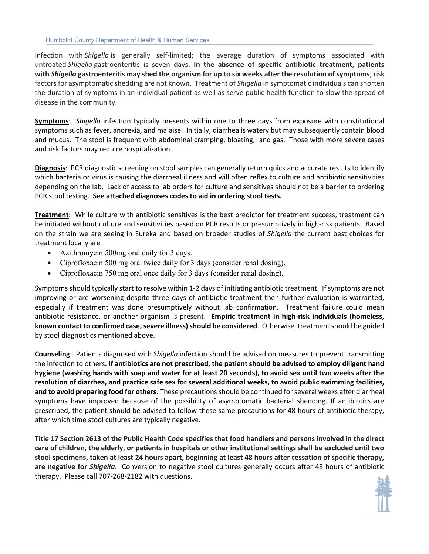Infection with *Shigella* is generally self-limited; the average duration of symptoms associated with untreated *Shigella* gastroenteritis is seven days**. In the absence of specific antibiotic treatment, patients with** *Shigella* **gastroenteritis may shed the organism for up to six weeks after the resolution of symptoms**; risk factors for asymptomatic shedding are not known. Treatment of *Shigella* in symptomatic individuals can shorten the duration of symptoms in an individual patient as well as serve public health function to slow the spread of disease in the community.

**Symptoms**: *Shigella* infection typically presents within one to three days from exposure with constitutional symptoms such as fever, anorexia, and malaise. Initially, diarrhea is watery but may subsequently contain blood and mucus. The stool is frequent with abdominal cramping, bloating, and gas. Those with more severe cases and risk factors may require hospitalization.

**Diagnosis**: PCR diagnostic screening on stool samples can generally return quick and accurate results to identify which bacteria or virus is causing the diarrheal illness and will often reflex to culture and antibiotic sensitivities depending on the lab. Lack of access to lab orders for culture and sensitives should not be a barrier to ordering PCR stool testing. **See attached diagnoses codes to aid in ordering stool tests.**

**Treatment**: While culture with antibiotic sensitives is the best predictor for treatment success, treatment can be initiated without culture and sensitivities based on PCR results or presumptively in high-risk patients. Based on the strain we are seeing in Eureka and based on broader studies of *Shigella* the current best choices for treatment locally are

- Azithromycin 500mg oral daily for 3 days.
- Ciprofloxacin 500 mg oral twice daily for 3 days (consider renal dosing).
- Ciprofloxacin 750 mg oral once daily for 3 days (consider renal dosing).

Symptoms should typically start to resolve within 1-2 days of initiating antibiotic treatment. If symptoms are not improving or are worsening despite three days of antibiotic treatment then further evaluation is warranted, especially if treatment was done presumptively without lab confirmation. Treatment failure could mean antibiotic resistance, or another organism is present. **Empiric treatment in high-risk individuals (homeless, known contact to confirmed case, severe illness) should be considered**. Otherwise, treatment should be guided by stool diagnostics mentioned above.

**Counseling**: Patients diagnosed with *Shigella* infection should be advised on measures to prevent transmitting the infection to others**. If antibiotics are not prescribed, the patient should be advised to employ diligent hand hygiene (washing hands with soap and water for at least 20 seconds), to avoid sex until two weeks after the resolution of diarrhea, and practice safe sex for several additional weeks, to avoid public swimming facilities, and to avoid preparing food for others.** These precautions should be continued for several weeks after diarrheal symptoms have improved because of the possibility of asymptomatic bacterial shedding. If antibiotics are prescribed, the patient should be advised to follow these same precautions for 48 hours of antibiotic therapy, after which time stool cultures are typically negative.

**Title 17 Section 2613 of the Public Health Code specifies that food handlers and persons involved in the direct care of children, the elderly, or patients in hospitals or other institutional settings shall be excluded until two stool specimens, taken at least 24 hours apart, beginning at least 48 hours after cessation of specific therapy, are negative for** *Shigella***.** Conversion to negative stool cultures generally occurs after 48 hours of antibiotic therapy. Please call 707-268-2182 with questions.